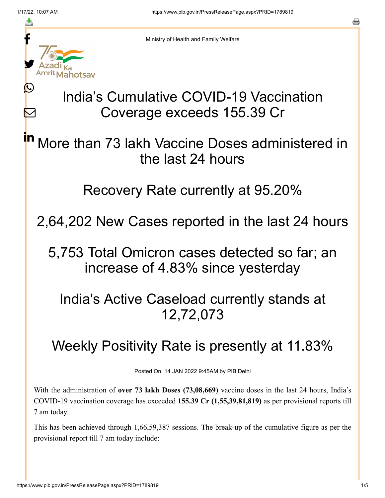≛

 $\bm{\nabla}$ 



Ministry of Health and Family Welfare

## India's Cumulative COVID-19 Vaccination Coverage exceeds 155.39 Cr

More than 73 lakh Vaccine Doses administered in the last 24 hours in

### Recovery Rate currently at 95.20%

2,64,202 New Cases reported in the last 24 hours

5,753 Total Omicron cases detected so far; an increase of 4.83% since yesterday

## India's Active Caseload currently stands at 12,72,073

# Weekly Positivity Rate is presently at 11.83%

Posted On: 14 JAN 2022 9:45AM by PIB Delhi

With the administration of **over 73 lakh Doses (73,08,669)** vaccine doses in the last 24 hours, India's COVID-19 vaccination coverage has exceeded **155.39 Cr (1,55,39,81,819)** as per provisional reports till 7 am today.

This has been achieved through 1,66,59,387 sessions. The break-up of the cumulative figure as per the provisional report till 7 am today include: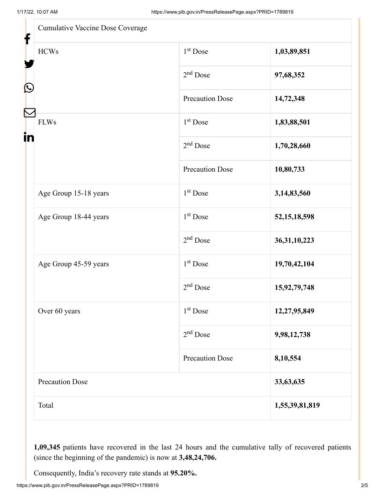| <b>Cumulative Vaccine Dose Coverage</b> |                        |                 |
|-----------------------------------------|------------------------|-----------------|
| <b>HCWs</b>                             | $1st$ Dose             | 1,03,89,851     |
|                                         | $2nd$ Dose             | 97,68,352       |
|                                         | <b>Precaution Dose</b> | 14,72,348       |
| <b>FLWs</b>                             | $1st$ Dose             | 1,83,88,501     |
|                                         | $2nd$ Dose             | 1,70,28,660     |
|                                         | <b>Precaution Dose</b> | 10,80,733       |
| Age Group 15-18 years                   | $1st$ Dose             | 3,14,83,560     |
| Age Group 18-44 years                   | $1st$ Dose             | 52, 15, 18, 598 |
|                                         | $2nd$ Dose             | 36, 31, 10, 223 |
| Age Group 45-59 years                   | $1st$ Dose             | 19,70,42,104    |
|                                         | 2 <sup>nd</sup> Dose   | 15,92,79,748    |
| Over 60 years                           | $1st$ Dose             | 12,27,95,849    |
|                                         | $2nd$ Dose             | 9,98,12,738     |
|                                         | <b>Precaution Dose</b> | 8,10,554        |
| Precaution Dose                         |                        | 33,63,635       |
| Total                                   |                        | 1,55,39,81,819  |

**1,09,345** patients have recovered in the last 24 hours and the cumulative tally of recovered patients (since the beginning of the pandemic) is now at **3,48,24,706.**

Consequently, India's recovery rate stands at **95.20%.**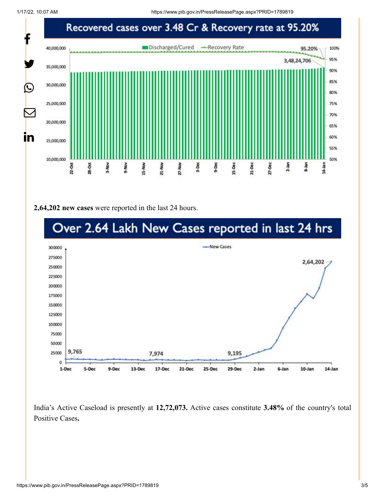1/17/22, 10:07 AM https://www.pib.gov.in/PressReleasePage.aspx?PRID=1789819



**2,64,202 new cases** were reported in the last 24 hours.



India's Active Caseload is presently at **12,72,073.** Active cases constitute **3.48%** of the country's total Positive Cases**.**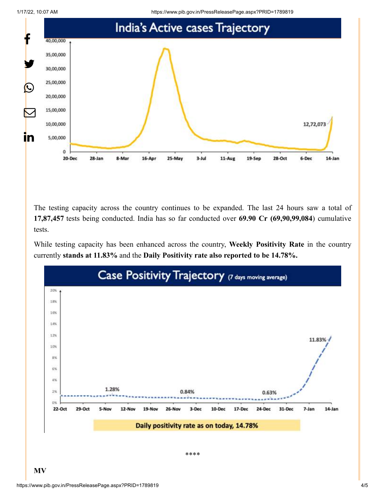1/17/22, 10:07 AM https://www.pib.gov.in/PressReleasePage.aspx?PRID=1789819



The testing capacity across the country continues to be expanded. The last 24 hours saw a total of **17,87,457** tests being conducted. India has so far conducted over **69.90 Cr (69,90,99,084**) cumulative tests.

While testing capacity has been enhanced across the country, **Weekly Positivity Rate** in the country currently **stands at 11.83%** and the **Daily Positivity rate also reported to be 14.78%.**



**MV**